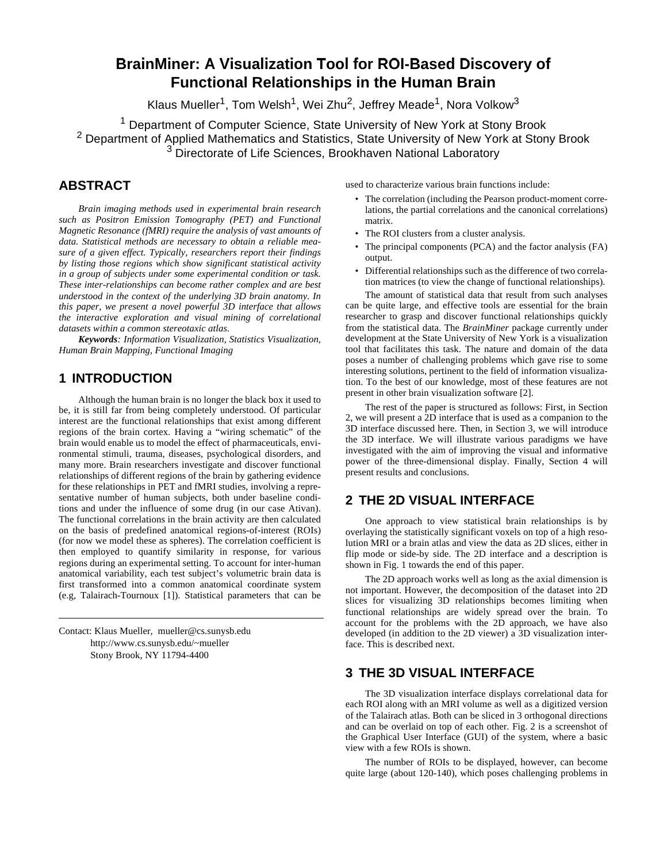# **BrainMiner: A Visualization Tool for ROI-Based Discovery of Functional Relationships in the Human Brain**

Klaus Mueller<sup>1</sup>, Tom Welsh<sup>1</sup>, Wei Zhu<sup>2</sup>, Jeffrey Meade<sup>1</sup>, Nora Volkow<sup>3</sup>

Department of Computer Science, State University of New York at Sto <sup>2</sup> Department of Applied Mathematics and Statistics, State University of New York at Stony Brook Directorate of Life Sciences, Brookhaven National Laboratory 3 Directorate of Life Sciences, Brookhaven National Laboratory <sup>1</sup> Department of Computer Science, State University of New York at Stony Brook

## **ABSTRACT**

*Brain imaging methods used in experimental brain research such as Positron Emission Tomography (PET) and Functional Magnetic Resonance (fMRI) require the analysis of vast amounts of data. Statistical methods are necessary to obtain a reliable measure of a given effect. Typically, researchers report their findings by listing those regions which show significant statistical activity in a group of subjects under some experimental condition or task. These inter-relationships can become rather complex and are best understood in the context of the underlying 3D brain anatomy. In this paper, we present a novel powerful 3D interface that allows the interactive exploration and visual mining of correlational datasets within a common stereotaxic atlas.*

*Keywords: Information Visualization, Statistics Visualization, Human Brain Mapping, Functional Imaging*

## **1 INTRODUCTION**

Although the human brain is no longer the black box it used to be, it is still far from being completely understood. Of particular interest are the functional relationships that exist among different regions of the brain cortex. Having a "wiring schematic" of the brain would enable us to model the effect of pharmaceuticals, environmental stimuli, trauma, diseases, psychological disorders, and many more. Brain researchers investigate and discover functional relationships of different regions of the brain by gathering evidence for these relationships in PET and fMRI studies, involving a representative number of human subjects, both under baseline conditions and under the influence of some drug (in our case Ativan). The functional correlations in the brain activity are then calculated on the basis of predefined anatomical regions-of-interest (ROIs) (for now we model these as spheres). The correlation coefficient is then employed to quantify similarity in response, for various regions during an experimental setting. To account for inter-human anatomical variability, each test subject's volumetric brain data is first transformed into a common anatomical coordinate system (e.g, Talairach-Tournoux [1]). Statistical parameters that can be

Contact: Klaus Mueller, mueller@cs.sunysb.edu http://www.cs.sunysb.edu/~mueller Stony Brook, NY 11794-4400

used to characterize various brain functions include:

- The correlation (including the Pearson product-moment correlations, the partial correlations and the canonical correlations) matrix.
- The ROI clusters from a cluster analysis.
- The principal components (PCA) and the factor analysis (FA) output.
- Differential relationships such as the difference of two correlation matrices (to view the change of functional relationships).

The amount of statistical data that result from such analyses can be quite large, and effective tools are essential for the brain researcher to grasp and discover functional relationships quickly from the statistical data. The *BrainMiner* package currently under development at the State University of New York is a visualization tool that facilitates this task. The nature and domain of the data poses a number of challenging problems which gave rise to some interesting solutions, pertinent to the field of information visualization. To the best of our knowledge, most of these features are not present in other brain visualization software [2].

The rest of the paper is structured as follows: First, in Section 2, we will present a 2D interface that is used as a companion to the 3D interface discussed here. Then, in Section 3, we will introduce the 3D interface. We will illustrate various paradigms we have investigated with the aim of improving the visual and informative power of the three-dimensional display. Finally, Section 4 will present results and conclusions.

#### **2 THE 2D VISUAL INTERFACE**

One approach to view statistical brain relationships is by overlaying the statistically significant voxels on top of a high resolution MRI or a brain atlas and view the data as 2D slices, either in flip mode or side-by side. The 2D interface and a description is shown in Fig. 1 towards the end of this paper.

The 2D approach works well as long as the axial dimension is not important. However, the decomposition of the dataset into 2D slices for visualizing 3D relationships becomes limiting when functional relationships are widely spread over the brain. To account for the problems with the 2D approach, we have also developed (in addition to the 2D viewer) a 3D visualization interface. This is described next.

## **3 THE 3D VISUAL INTERFACE**

The 3D visualization interface displays correlational data for each ROI along with an MRI volume as well as a digitized version of the Talairach atlas. Both can be sliced in 3 orthogonal directions and can be overlaid on top of each other. Fig. 2 is a screenshot of the Graphical User Interface (GUI) of the system, where a basic view with a few ROIs is shown.

The number of ROIs to be displayed, however, can become quite large (about 120-140), which poses challenging problems in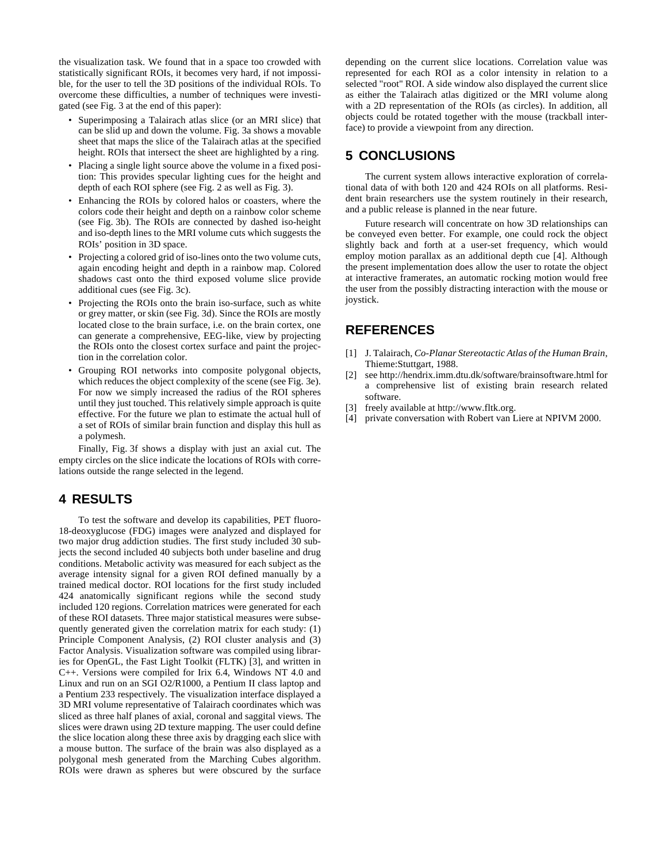the visualization task. We found that in a space too crowded with statistically significant ROIs, it becomes very hard, if not impossible, for the user to tell the 3D positions of the individual ROIs. To overcome these difficulties, a number of techniques were investigated (see Fig. 3 at the end of this paper):

- Superimposing a Talairach atlas slice (or an MRI slice) that can be slid up and down the volume. Fig. 3a shows a movable sheet that maps the slice of the Talairach atlas at the specified height. ROIs that intersect the sheet are highlighted by a ring.
- Placing a single light source above the volume in a fixed position: This provides specular lighting cues for the height and depth of each ROI sphere (see Fig. 2 as well as Fig. 3).
- Enhancing the ROIs by colored halos or coasters, where the colors code their height and depth on a rainbow color scheme (see Fig. 3b). The ROIs are connected by dashed iso-height and iso-depth lines to the MRI volume cuts which suggests the ROIs' position in 3D space.
- Projecting a colored grid of iso-lines onto the two volume cuts, again encoding height and depth in a rainbow map. Colored shadows cast onto the third exposed volume slice provide additional cues (see Fig. 3c).
- Projecting the ROIs onto the brain iso-surface, such as white or grey matter, or skin (see Fig. 3d). Since the ROIs are mostly located close to the brain surface, i.e. on the brain cortex, one can generate a comprehensive, EEG-like, view by projecting the ROIs onto the closest cortex surface and paint the projection in the correlation color.
- Grouping ROI networks into composite polygonal objects, which reduces the object complexity of the scene (see Fig. 3e). For now we simply increased the radius of the ROI spheres until they just touched. This relatively simple approach is quite effective. For the future we plan to estimate the actual hull of a set of ROIs of similar brain function and display this hull as a polymesh.

Finally, Fig. 3f shows a display with just an axial cut. The empty circles on the slice indicate the locations of ROIs with correlations outside the range selected in the legend.

#### **4 RESULTS**

To test the software and develop its capabilities, PET fluoro-18-deoxyglucose (FDG) images were analyzed and displayed for two major drug addiction studies. The first study included 30 subjects the second included 40 subjects both under baseline and drug conditions. Metabolic activity was measured for each subject as the average intensity signal for a given ROI defined manually by a trained medical doctor. ROI locations for the first study included 424 anatomically significant regions while the second study included 120 regions. Correlation matrices were generated for each of these ROI datasets. Three major statistical measures were subsequently generated given the correlation matrix for each study: (1) Principle Component Analysis, (2) ROI cluster analysis and (3) Factor Analysis. Visualization software was compiled using libraries for OpenGL, the Fast Light Toolkit (FLTK) [3], and written in C++. Versions were compiled for Irix 6.4, Windows NT 4.0 and Linux and run on an SGI O2/R1000, a Pentium II class laptop and a Pentium 233 respectively. The visualization interface displayed a 3D MRI volume representative of Talairach coordinates which was sliced as three half planes of axial, coronal and saggital views. The slices were drawn using 2D texture mapping. The user could define the slice location along these three axis by dragging each slice with a mouse button. The surface of the brain was also displayed as a polygonal mesh generated from the Marching Cubes algorithm. ROIs were drawn as spheres but were obscured by the surface

depending on the current slice locations. Correlation value was represented for each ROI as a color intensity in relation to a selected "root" ROI. A side window also displayed the current slice as either the Talairach atlas digitized or the MRI volume along with a 2D representation of the ROIs (as circles). In addition, all objects could be rotated together with the mouse (trackball interface) to provide a viewpoint from any direction.

## **5 CONCLUSIONS**

The current system allows interactive exploration of correlational data of with both 120 and 424 ROIs on all platforms. Resident brain researchers use the system routinely in their research, and a public release is planned in the near future.

Future research will concentrate on how 3D relationships can be conveyed even better. For example, one could rock the object slightly back and forth at a user-set frequency, which would employ motion parallax as an additional depth cue [4]. Although the present implementation does allow the user to rotate the object at interactive framerates, an automatic rocking motion would free the user from the possibly distracting interaction with the mouse or joystick.

## **REFERENCES**

- [1] J. Talairach, *Co-Planar Stereotactic Atlas of the Human Brain*, Thieme:Stuttgart, 1988.
- [2] see http://hendrix.imm.dtu.dk/software/brainsoftware.html for a comprehensive list of existing brain research related software.
- [3] freely available at http://www.fltk.org.
- [4] private conversation with Robert van Liere at NPIVM 2000.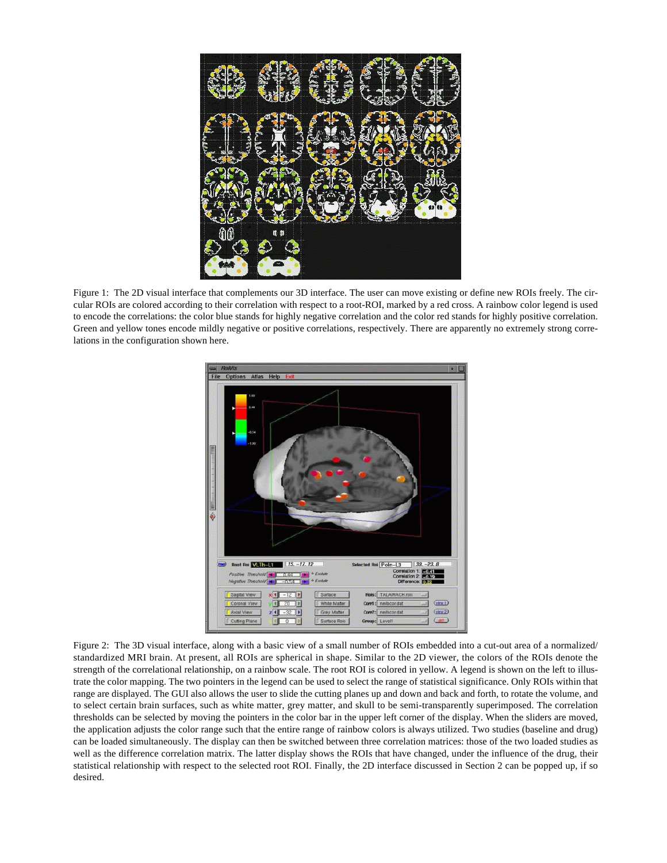

Figure 1: The 2D visual interface that complements our 3D interface. The user can move existing or define new ROIs freely. The circular ROIs are colored according to their correlation with respect to a root-ROI, marked by a red cross. A rainbow color legend is used to encode the correlations: the color blue stands for highly negative correlation and the color red stands for highly positive correlation. Green and yellow tones encode mildly negative or positive correlations, respectively. There are apparently no extremely strong correlations in the configuration shown here.



Figure 2: The 3D visual interface, along with a basic view of a small number of ROIs embedded into a cut-out area of a normalized/ standardized MRI brain. At present, all ROIs are spherical in shape. Similar to the 2D viewer, the colors of the ROIs denote the strength of the correlational relationship, on a rainbow scale. The root ROI is colored in yellow. A legend is shown on the left to illustrate the color mapping. The two pointers in the legend can be used to select the range of statistical significance. Only ROIs within that range are displayed. The GUI also allows the user to slide the cutting planes up and down and back and forth, to rotate the volume, and to select certain brain surfaces, such as white matter, grey matter, and skull to be semi-transparently superimposed. The correlation thresholds can be selected by moving the pointers in the color bar in the upper left corner of the display. When the sliders are moved, the application adjusts the color range such that the entire range of rainbow colors is always utilized. Two studies (baseline and drug) can be loaded simultaneously. The display can then be switched between three correlation matrices: those of the two loaded studies as well as the difference correlation matrix. The latter display shows the ROIs that have changed, under the influence of the drug, their statistical relationship with respect to the selected root ROI. Finally, the 2D interface discussed in Section 2 can be popped up, if so desired.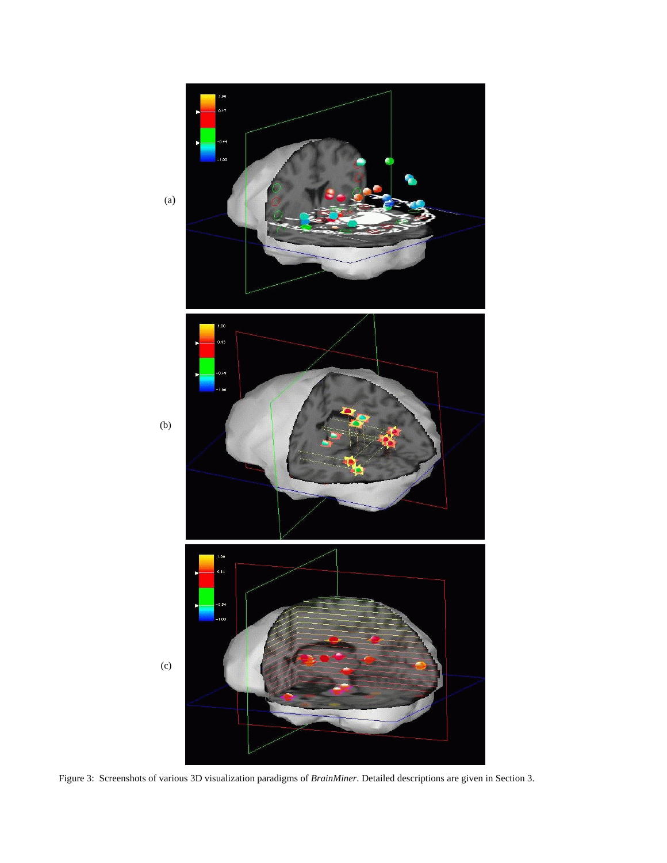

Figure 3: Screenshots of various 3D visualization paradigms of *BrainMiner*. Detailed descriptions are given in Section 3.